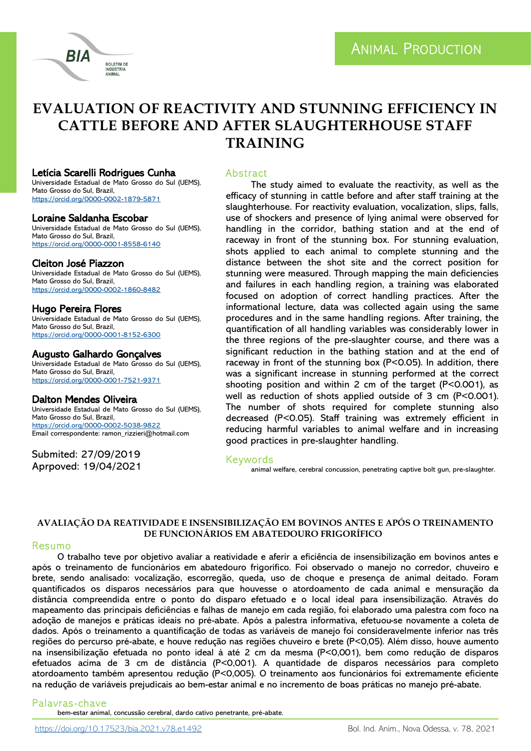



#### Letícia Scarelli Rodrigues Cunha

Universidade Estadual de Mato Grosso do Sul (UEMS), Mato Grosso do Sul, Brazil, <https://orcid.org/0000-0002-1879-5871>

**BOLETIM DE ANIMAL** 

#### Loraine Saldanha Escobar

Universidade Estadual de Mato Grosso do Sul (UEMS), Mato Grosso do Sul, Brazil, <https://orcid.org/0000-0001-8558-6140>

#### Cleiton José Piazzon

Universidade Estadual de Mato Grosso do Sul (UEMS), Mato Grosso do Sul, Brazil, <https://orcid.org/0000-0002-1860-8482>

## Hugo Pereira Flores

Universidade Estadual de Mato Grosso do Sul (UEMS), Mato Grosso do Sul, Brazil, <https://orcid.org/0000-0001-8152-6300>

#### Augusto Galhardo Gonçalves

Universidade Estadual de Mato Grosso do Sul (UEMS), Mato Grosso do Sul, Brazil, <https://orcid.org/0000-0001-7521-9371>

## Dalton Mendes Oliveira

Universidade Estadual de Mato Grosso do Sul (UEMS), Mato Grosso do Sul, Brazil, <https://orcid.org/0000-0002-5038-9822> Email correspondente: ramon\_rizzieri@hotmail.com

Submited: 27/09/2019 Aprpoved: 19/04/2021

## **Abstract**

The study aimed to evaluate the reactivity, as well as the efficacy of stunning in cattle before and after staff training at the slaughterhouse. For reactivity evaluation, vocalization, slips, falls, use of shockers and presence of lying animal were observed for handling in the corridor, bathing station and at the end of raceway in front of the stunning box. For stunning evaluation, shots applied to each animal to complete stunning and the distance between the shot site and the correct position for stunning were measured. Through mapping the main deficiencies and failures in each handling region, a training was elaborated focused on adoption of correct handling practices. After the informational lecture, data was collected again using the same procedures and in the same handling regions. After training, the quantification of all handling variables was considerably lower in the three regions of the pre-slaughter course, and there was a significant reduction in the bathing station and at the end of raceway in front of the stunning box (P<0.05). In addition, there was a significant increase in stunning performed at the correct shooting position and within 2 cm of the target (P<0.001), as well as reduction of shots applied outside of 3 cm (P<0.001). The number of shots required for complete stunning also decreased (P<0.05). Staff training was extremely efficient in reducing harmful variables to animal welfare and in increasing good practices in pre-slaughter handling.

#### Keywords

animal welfare, cerebral concussion, penetrating captive bolt gun, pre-slaughter.

## **AVALIAÇÃO DA REATIVIDADE E INSENSIBILIZAÇÃO EM BOVINOS ANTES E APÓS O TREINAMENTO DE FUNCIONÁRIOS EM ABATEDOURO FRIGORÍFICO**

#### Resumo

O trabalho teve por objetivo avaliar a reatividade e aferir a eficiência de insensibilização em bovinos antes e após o treinamento de funcionários em abatedouro frigorífico. Foi observado o manejo no corredor, chuveiro e brete, sendo analisado: vocalização, escorregão, queda, uso de choque e presença de animal deitado. Foram quantificados os disparos necessários para que houvesse o atordoamento de cada animal e mensuração da distância compreendida entre o ponto do disparo efetuado e o local ideal para insensibilização. Através do mapeamento das principais deficiências e falhas de manejo em cada região, foi elaborado uma palestra com foco na adoção de manejos e práticas ideais no pré-abate. Após a palestra informativa, efetuou-se novamente a coleta de dados. Após o treinamento a quantificação de todas as variáveis de manejo foi consideravelmente inferior nas três regiões do percurso pré-abate, e houve redução nas regiões chuveiro e brete (P<0,05). Além disso, houve aumento na insensibilização efetuada no ponto ideal à até 2 cm da mesma (P<0,001), bem como redução de disparos efetuados acima de 3 cm de distância (P<0,001). A quantidade de disparos necessários para completo atordoamento também apresentou redução (P<0,005). O treinamento aos funcionários foi extremamente eficiente na redução de variáveis prejudicais ao bem-estar animal e no incremento de boas práticas no manejo pré-abate.

#### Palavras -chave

bem-estar animal, concussão cerebral, dardo cativo penetrante, pré-abate.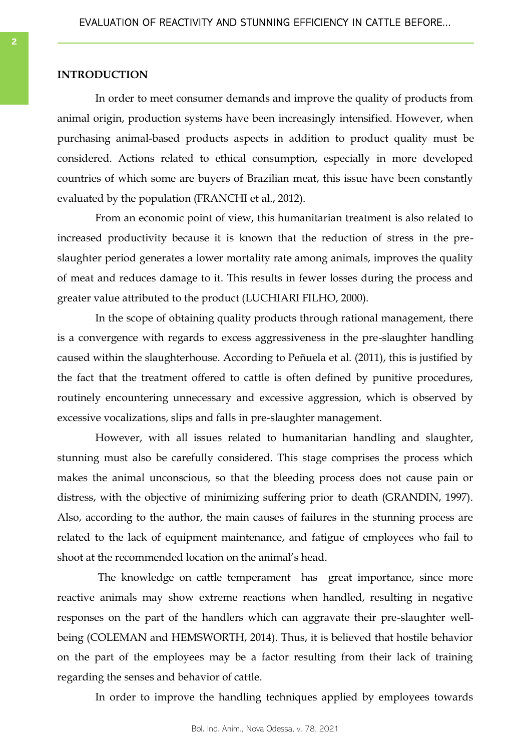## **INTRODUCTION**

In order to meet consumer demands and improve the quality of products from animal origin, production systems have been increasingly intensified. However, when purchasing animal-based products aspects in addition to product quality must be considered. Actions related to ethical consumption, especially in more developed countries of which some are buyers of Brazilian meat, this issue have been constantly evaluated by the population (FRANCHI et al., 2012).

From an economic point of view, this humanitarian treatment is also related to increased productivity because it is known that the reduction of stress in the preslaughter period generates a lower mortality rate among animals, improves the quality of meat and reduces damage to it. This results in fewer losses during the process and greater value attributed to the product (LUCHIARI FILHO, 2000).

In the scope of obtaining quality products through rational management, there is a convergence with regards to excess aggressiveness in the pre-slaughter handling caused within the slaughterhouse. According to Peñuela et al. (2011), this is justified by the fact that the treatment offered to cattle is often defined by punitive procedures, routinely encountering unnecessary and excessive aggression, which is observed by excessive vocalizations, slips and falls in pre-slaughter management.

However, with all issues related to humanitarian handling and slaughter, stunning must also be carefully considered. This stage comprises the process which makes the animal unconscious, so that the bleeding process does not cause pain or distress, with the objective of minimizing suffering prior to death (GRANDIN, 1997). Also, according to the author, the main causes of failures in the stunning process are related to the lack of equipment maintenance, and fatigue of employees who fail to shoot at the recommended location on the animal's head.

The knowledge on cattle temperament has great importance, since more reactive animals may show extreme reactions when handled, resulting in negative responses on the part of the handlers which can aggravate their pre-slaughter wellbeing (COLEMAN and HEMSWORTH, 2014). Thus, it is believed that hostile behavior on the part of the employees may be a factor resulting from their lack of training regarding the senses and behavior of cattle.

In order to improve the handling techniques applied by employees towards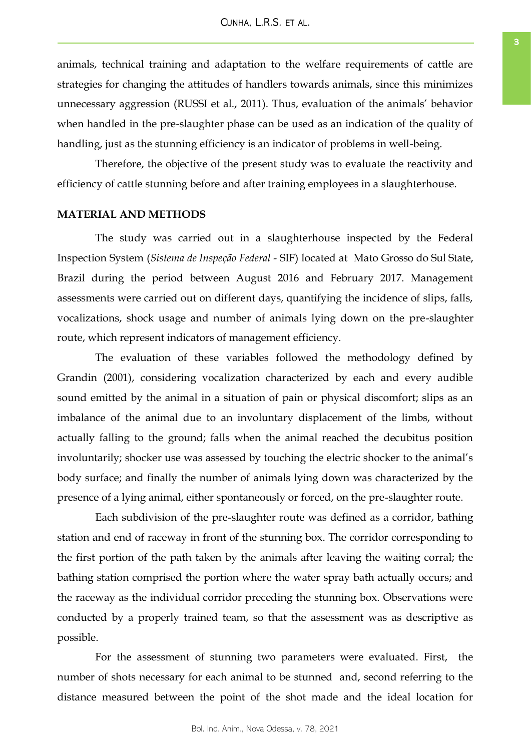animals, technical training and adaptation to the welfare requirements of cattle are strategies for changing the attitudes of handlers towards animals, since this minimizes unnecessary aggression (RUSSI et al., 2011). Thus, evaluation of the animals' behavior when handled in the pre-slaughter phase can be used as an indication of the quality of handling, just as the stunning efficiency is an indicator of problems in well-being.

Therefore, the objective of the present study was to evaluate the reactivity and efficiency of cattle stunning before and after training employees in a slaughterhouse.

## **MATERIAL AND METHODS**

The study was carried out in a slaughterhouse inspected by the Federal Inspection System (*Sistema de Inspeção Federal* - SIF) located at Mato Grosso do Sul State, Brazil during the period between August 2016 and February 2017. Management assessments were carried out on different days, quantifying the incidence of slips, falls, vocalizations, shock usage and number of animals lying down on the pre-slaughter route, which represent indicators of management efficiency.

The evaluation of these variables followed the methodology defined by Grandin (2001), considering vocalization characterized by each and every audible sound emitted by the animal in a situation of pain or physical discomfort; slips as an imbalance of the animal due to an involuntary displacement of the limbs, without actually falling to the ground; falls when the animal reached the decubitus position involuntarily; shocker use was assessed by touching the electric shocker to the animal's body surface; and finally the number of animals lying down was characterized by the presence of a lying animal, either spontaneously or forced, on the pre-slaughter route.

Each subdivision of the pre-slaughter route was defined as a corridor, bathing station and end of raceway in front of the stunning box. The corridor corresponding to the first portion of the path taken by the animals after leaving the waiting corral; the bathing station comprised the portion where the water spray bath actually occurs; and the raceway as the individual corridor preceding the stunning box. Observations were conducted by a properly trained team, so that the assessment was as descriptive as possible.

For the assessment of stunning two parameters were evaluated. First, the number of shots necessary for each animal to be stunned and, second referring to the distance measured between the point of the shot made and the ideal location for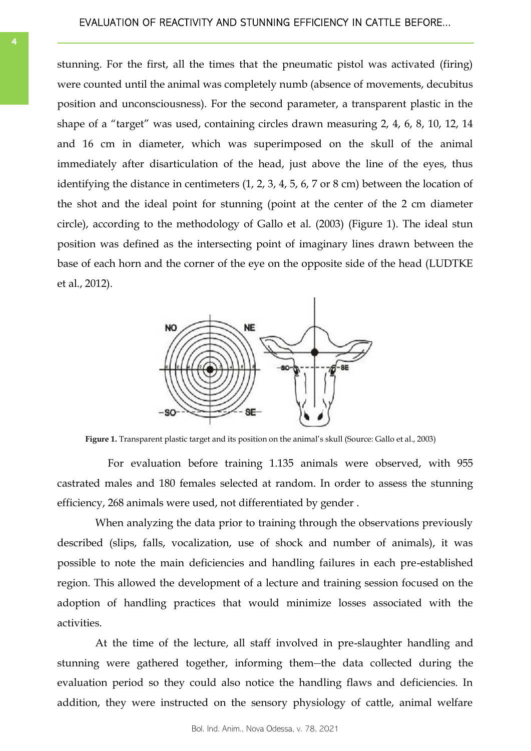stunning. For the first, all the times that the pneumatic pistol was activated (firing) were counted until the animal was completely numb (absence of movements, decubitus position and unconsciousness). For the second parameter, a transparent plastic in the shape of a "target" was used, containing circles drawn measuring 2, 4, 6, 8, 10, 12, 14 and 16 cm in diameter, which was superimposed on the skull of the animal immediately after disarticulation of the head, just above the line of the eyes, thus identifying the distance in centimeters (1, 2, 3, 4, 5, 6, 7 or 8 cm) between the location of the shot and the ideal point for stunning (point at the center of the 2 cm diameter circle), according to the methodology of Gallo et al. (2003) (Figure 1). The ideal stun position was defined as the intersecting point of imaginary lines drawn between the base of each horn and the corner of the eye on the opposite side of the head (LUDTKE et al., 2012).



Figure 1. Transparent plastic target and its position on the animal's skull (Source: Gallo et al., 2003)

For evaluation before training 1.135 animals were observed, with 955 castrated males and 180 females selected at random. In order to assess the stunning efficiency, 268 animals were used, not differentiated by gender .

When analyzing the data prior to training through the observations previously described (slips, falls, vocalization, use of shock and number of animals), it was possible to note the main deficiencies and handling failures in each pre-established region. This allowed the development of a lecture and training session focused on the adoption of handling practices that would minimize losses associated with the activities.

At the time of the lecture, all staff involved in pre-slaughter handling and stunning were gathered together, informing them-the data collected during the evaluation period so they could also notice the handling flaws and deficiencies. In addition, they were instructed on the sensory physiology of cattle, animal welfare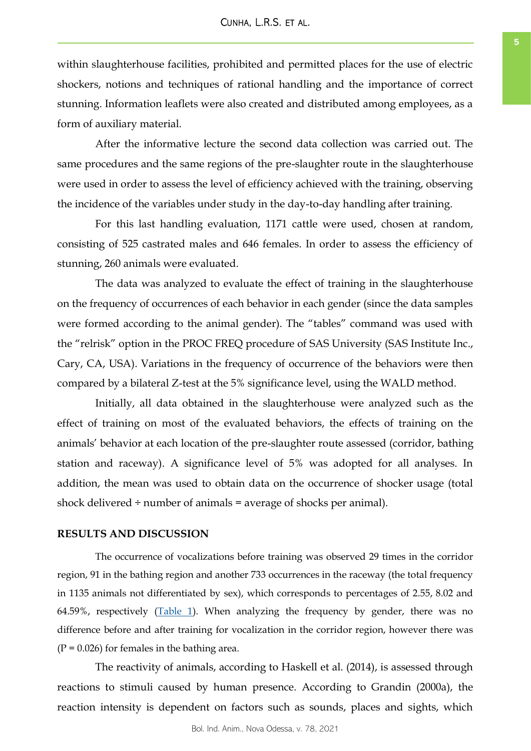within slaughterhouse facilities, prohibited and permitted places for the use of electric shockers, notions and techniques of rational handling and the importance of correct stunning. Information leaflets were also created and distributed among employees, as a form of auxiliary material.

After the informative lecture the second data collection was carried out. The same procedures and the same regions of the pre-slaughter route in the slaughterhouse were used in order to assess the level of efficiency achieved with the training, observing the incidence of the variables under study in the day-to-day handling after training.

For this last handling evaluation, 1171 cattle were used, chosen at random, consisting of 525 castrated males and 646 females. In order to assess the efficiency of stunning, 260 animals were evaluated.

The data was analyzed to evaluate the effect of training in the slaughterhouse on the frequency of occurrences of each behavior in each gender (since the data samples were formed according to the animal gender). The "tables" command was used with the "relrisk" option in the PROC FREQ procedure of SAS University (SAS Institute Inc., Cary, CA, USA). Variations in the frequency of occurrence of the behaviors were then compared by a bilateral Z-test at the 5% significance level, using the WALD method.

Initially, all data obtained in the slaughterhouse were analyzed such as the effect of training on most of the evaluated behaviors, the effects of training on the animals' behavior at each location of the pre-slaughter route assessed (corridor, bathing station and raceway). A significance level of 5% was adopted for all analyses. In addition, the mean was used to obtain data on the occurrence of shocker usage (total shock delivered  $\div$  number of animals  $=$  average of shocks per animal).

## **RESULTS AND DISCUSSION**

The occurrence of vocalizations before training was observed 29 times in the corridor region, 91 in the bathing region and another 733 occurrences in the raceway (the total frequency in 1135 animals not differentiated by sex), which corresponds to percentages of 2.55, 8.02 and 64.59%, respectively  $(Table 1)$ . When analyzing the frequency by gender, there was no difference before and after training for vocalization in the corridor region, however there was  $(P = 0.026)$  for females in the bathing area.

The reactivity of animals, according to Haskell et al. (2014), is assessed through reactions to stimuli caused by human presence. According to Grandin (2000a), the reaction intensity is dependent on factors such as sounds, places and sights, which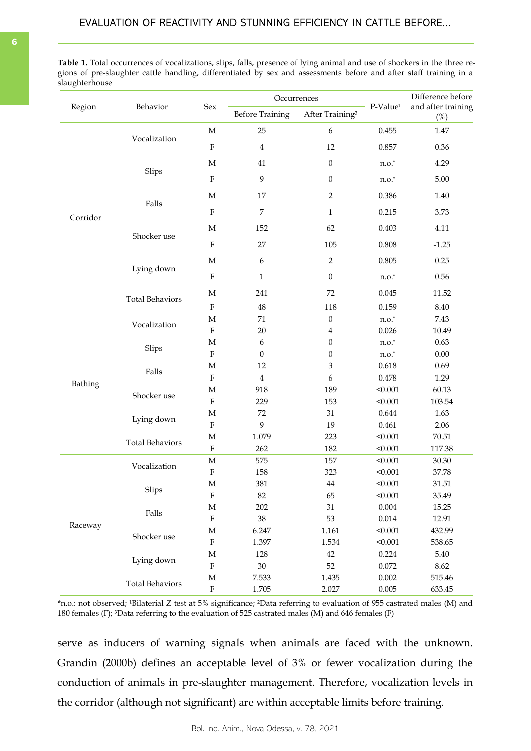<span id="page-5-0"></span>**Table 1.** Total occurrences of vocalizations, slips, falls, presence of lying animal and use of shockers in the three regions of pre-slaughter cattle handling, differentiated by sex and assessments before and after staff training in a slaughterhouse

| Region   | Behavior               | Sex         | Occurrences            |                             | P-Value <sup>1</sup> | Difference before<br>and after training |  |
|----------|------------------------|-------------|------------------------|-----------------------------|----------------------|-----------------------------------------|--|
|          |                        |             | <b>Before Training</b> | After Training <sup>3</sup> |                      | $(\%)$                                  |  |
|          |                        | $\mathbf M$ | 25                     | $\boldsymbol{6}$            | 0.455                | 1.47                                    |  |
|          | Vocalization           | $\rm F$     | $\bf 4$                | 12                          | 0.857                | 0.36                                    |  |
|          |                        | $\mathbf M$ | 41                     | $\boldsymbol{0}$            | $n.o.^*$             | 4.29                                    |  |
|          | Slips                  | $\rm F$     | 9                      | $\mathbf{0}$                | $n.o.*$              | 5.00                                    |  |
|          |                        | $\mathbf M$ | 17                     | $\sqrt{2}$                  | 0.386                | 1.40                                    |  |
| Corridor | Falls                  | $\rm F$     | 7                      | $\mathbf{1}$                |                      | 3.73                                    |  |
|          |                        | $\mathbf M$ | 152                    | 62                          | 0.403                | 4.11                                    |  |
|          | Shocker use            | $\rm F$     | 27                     | 105                         | 0.808                | $-1.25$                                 |  |
|          |                        | $\mathbf M$ | $\boldsymbol{2}$<br>6  |                             | 0.805                | 0.25                                    |  |
|          | Lying down             | $\rm F$     | $\mathbf{1}$           | $\boldsymbol{0}$            | $n.o.*$              | 0.56                                    |  |
|          | <b>Total Behaviors</b> | $\mathbf M$ | 241                    | 72                          | 0.045                | 11.52                                   |  |
|          |                        | $\rm F$     | $\rm 48$               | 118                         | 0.159                | 8.40                                    |  |
|          | Vocalization           | $\mathbf M$ | $71\,$                 | $\boldsymbol{0}$            | $n.o.^*$             | 7.43                                    |  |
|          |                        | $\rm F$     | $20\,$                 | $\bf 4$                     | 0.026                | 10.49                                   |  |
|          |                        | $\mathbf M$ | 6                      | $\boldsymbol{0}$            | $n.o.^*$             | 0.63                                    |  |
|          | Slips                  | $\rm F$     | $\boldsymbol{0}$       | $\boldsymbol{0}$            | $n.o.^*$             | $0.00\,$                                |  |
|          |                        | $\mathbf M$ | 12                     | $\ensuremath{\mathbf{3}}$   | 0.618                | 0.69                                    |  |
|          | Falls                  | ${\bf F}$   | 4                      | 6                           | 0.478                | 1.29                                    |  |
| Bathing  | Shocker use            | $\mathbf M$ | 918                    | 189                         | < 0.001              | 60.13                                   |  |
|          |                        | $\rm F$     | 229                    | 153                         | < 0.001              | 103.54                                  |  |
|          |                        | $\mathbf M$ | 72                     | 31                          | 0.644                | 1.63                                    |  |
|          | Lying down             | $\rm F$     | 9                      | 19                          | 0.461                | 2.06                                    |  |
|          |                        | $\mathbf M$ | 1.079                  | 223                         | < 0.001              | 70.51                                   |  |
|          | <b>Total Behaviors</b> | $\rm F$     | 262                    | 182                         | < 0.001              | 117.38                                  |  |
| Raceway  |                        | $\mathbf M$ | 575                    | 157                         | < 0.001              | 30.30                                   |  |
|          | Vocalization           | $\rm F$     | 158                    | 323                         | < 0.001              | 37.78                                   |  |
|          |                        | $\mathbf M$ | 381                    | 44                          | < 0.001              | 31.51                                   |  |
|          | Slips                  | ${\bf F}$   | 82                     | 65                          | < 0.001              | 35.49                                   |  |
|          |                        | $\mathbf M$ | 202                    | 31                          | 0.004                | 15.25                                   |  |
|          | Falls                  | ${\bf F}$   | $38\,$                 | 53                          | 0.014                | 12.91                                   |  |
|          |                        | $\mathbf M$ | 6.247                  | 1.161                       | < 0.001              | 432.99                                  |  |
|          | Shocker use            | ${\bf F}$   | 1.397                  | 1.534                       | < 0.001              | 538.65                                  |  |
|          |                        | $\mathbf M$ | 128                    | $42\,$                      | 0.224                | 5.40                                    |  |
|          | Lying down             | ${\bf F}$   | $30\,$                 | 52                          | 0.072                | 8.62                                    |  |
|          |                        | $\mathbf M$ | 7.533                  | 1.435                       | 0.002                | 515.46                                  |  |
|          | <b>Total Behaviors</b> | ${\bf F}$   | 1.705                  | 2.027                       | 0.005                | 633.45                                  |  |

\*n.o.: not observed; <sup>1</sup>Bilaterial Z test at 5% significance; <sup>2</sup>Data referring to evaluation of 955 castrated males (M) and 180 females (F); ³Data referring to the evaluation of 525 castrated males (M) and 646 females (F)

serve as inducers of warning signals when animals are faced with the unknown. Grandin (2000b) defines an acceptable level of 3% or fewer vocalization during the conduction of animals in pre-slaughter management. Therefore, vocalization levels in the corridor (although not significant) are within acceptable limits before training.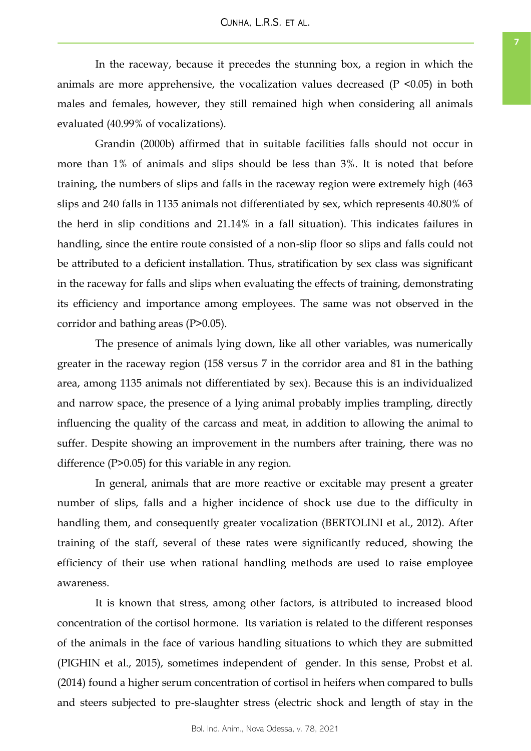In the raceway, because it precedes the stunning box, a region in which the animals are more apprehensive, the vocalization values decreased  $(P \le 0.05)$  in both males and females, however, they still remained high when considering all animals evaluated (40.99% of vocalizations).

Grandin (2000b) affirmed that in suitable facilities falls should not occur in more than 1% of animals and slips should be less than 3%. It is noted that before training, the numbers of slips and falls in the raceway region were extremely high (463 slips and 240 falls in 1135 animals not differentiated by sex, which represents 40.80% of the herd in slip conditions and 21.14% in a fall situation). This indicates failures in handling, since the entire route consisted of a non-slip floor so slips and falls could not be attributed to a deficient installation. Thus, stratification by sex class was significant in the raceway for falls and slips when evaluating the effects of training, demonstrating its efficiency and importance among employees. The same was not observed in the corridor and bathing areas (P>0.05).

The presence of animals lying down, like all other variables, was numerically greater in the raceway region (158 versus 7 in the corridor area and 81 in the bathing area, among 1135 animals not differentiated by sex). Because this is an individualized and narrow space, the presence of a lying animal probably implies trampling, directly influencing the quality of the carcass and meat, in addition to allowing the animal to suffer. Despite showing an improvement in the numbers after training, there was no difference (P>0.05) for this variable in any region.

In general, animals that are more reactive or excitable may present a greater number of slips, falls and a higher incidence of shock use due to the difficulty in handling them, and consequently greater vocalization (BERTOLINI et al., 2012). After training of the staff, several of these rates were significantly reduced, showing the efficiency of their use when rational handling methods are used to raise employee awareness.

It is known that stress, among other factors, is attributed to increased blood concentration of the cortisol hormone. Its variation is related to the different responses of the animals in the face of various handling situations to which they are submitted (PIGHIN et al., 2015), sometimes independent of gender. In this sense, Probst et al. (2014) found a higher serum concentration of cortisol in heifers when compared to bulls and steers subjected to pre-slaughter stress (electric shock and length of stay in the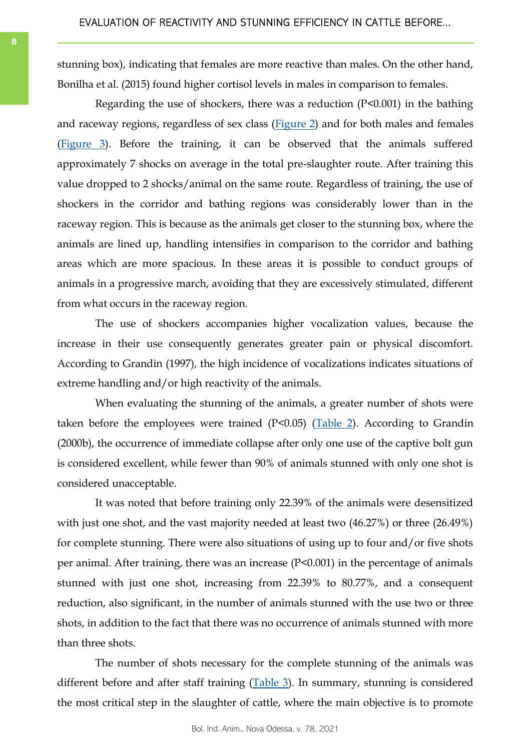stunning box), indicating that females are more reactive than males. On the other hand, Bonilha et al. (2015) found higher cortisol levels in males in comparison to females.

Regarding the use of shockers, there was a reduction (P<0.001) in the bathing and raceway regions, regardless of sex class ([Figure 2\)](#page-8-0) and for both males and females [\(Figure 3\).](#page-8-0) Before the training, it can be observed that the animals suffered approximately 7 shocks on average in the total pre-slaughter route. After training this value dropped to 2 shocks/animal on the same route. Regardless of training, the use of shockers in the corridor and bathing regions was considerably lower than in the raceway region. This is because as the animals get closer to the stunning box, where the animals are lined up, handling intensifies in comparison to the corridor and bathing areas which are more spacious. In these areas it is possible to conduct groups of animals in a progressive march, avoiding that they are excessively stimulated, different from what occurs in the raceway region.

The use of shockers accompanies higher vocalization values, because the increase in their use consequently generates greater pain or physical discomfort. According to Grandin (1997), the high incidence of vocalizations indicates situations of extreme handling and/or high reactivity of the animals.

When evaluating the stunning of the animals, a greater number of shots were taken before the employees were trained  $(P<0.05)$  ([Table 2\)](#page-8-0). According to Grandin (2000b), the occurrence of immediate collapse after only one use of the captive bolt gun is considered excellent, while fewer than 90% of animals stunned with only one shot is considered unacceptable.

It was noted that before training only 22.39% of the animals were desensitized with just one shot, and the vast majority needed at least two  $(46.27%)$  or three  $(26.49%)$ for complete stunning. There were also situations of using up to four and/or five shots per animal. After training, there was an increase (P<0.001) in the percentage of animals stunned with just one shot, increasing from 22.39% to 80.77%, and a consequent reduction, also significant, in the number of animals stunned with the use two or three shots, in addition to the fact that there was no occurrence of animals stunned with more than three shots.

The number of shots necessary for the complete stunning of the animals was different before and after staff training ([Table 3\)](#page-9-0). In summary, stunning is considered the most critical step in the slaughter of cattle, where the main objective is to promote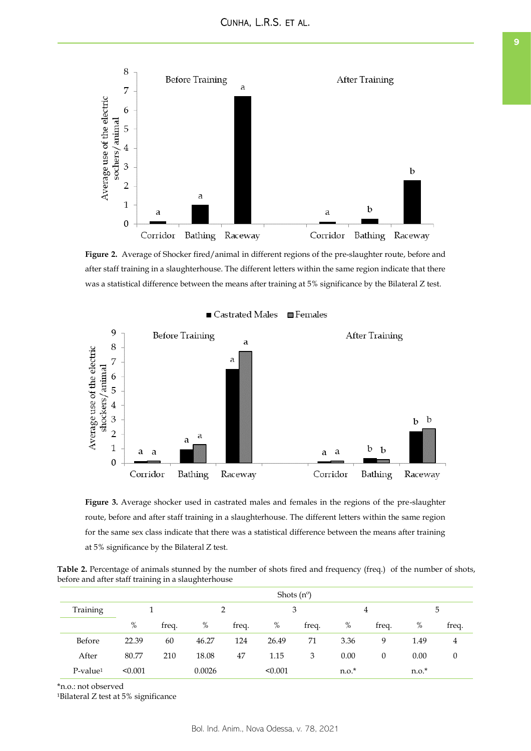<span id="page-8-0"></span>

**Figure 2.** Average of Shocker fired/animal in different regions of the pre-slaughter route, before and after staff training in a slaughterhouse. The different letters within the same region indicate that there was a statistical difference between the means after training at 5% significance by the Bilateral Z test.





**Figure 3.** Average shocker used in castrated males and females in the regions of the pre-slaughter route, before and after staff training in a slaughterhouse. The different letters within the same region for the same sex class indicate that there was a statistical difference between the means after training at 5% significance by the Bilateral Z test.

**Table 2.** Percentage of animals stunned by the number of shots fired and frequency (freq.) of the number of shots, before and after staff training in a slaughterhouse

|                         | Shots $(n^{\circ})$ |       |        |       |         |       |         |          |         |                  |
|-------------------------|---------------------|-------|--------|-------|---------|-------|---------|----------|---------|------------------|
| Training                |                     |       |        |       | 3       |       | 4       |          | 5       |                  |
|                         | $\%$                | freq. | $\%$   | freq. | $\%$    | freq. | $\%$    | freq.    | %       | freq.            |
| Before                  | 22.39               | 60    | 46.27  | 124   | 26.49   | 71    | 3.36    | 9        | 1.49    | 4                |
| After                   | 80.77               | 210   | 18.08  | 47    | 1.15    | 3     | 0.00    | $\theta$ | 0.00    | $\boldsymbol{0}$ |
| $P$ -value <sup>1</sup> | < 0.001             |       | 0.0026 |       | < 0.001 |       | $n.o.*$ |          | $n.o.*$ |                  |

\*n.o.: not observed

<sup>1</sup>Bilateral Z test at 5% significance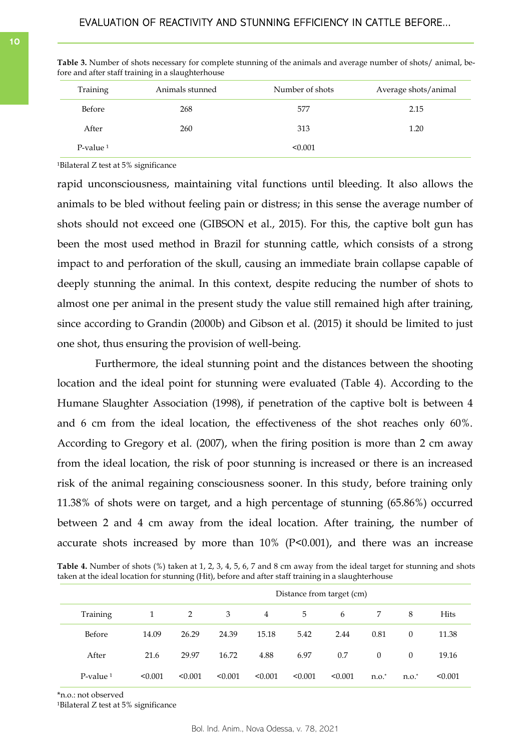| Animals stunned | Number of shots | Average shots/animal |
|-----------------|-----------------|----------------------|
| 268             | 577             | 2.15                 |
| 260             | 313             | 1.20                 |
|                 | < 0.001         |                      |
|                 |                 |                      |

<span id="page-9-0"></span>**Table 3.** Number of shots necessary for complete stunning of the animals and average number of shots/ animal, before and after staff training in a slaughterhouse

 $1$ Bilateral Z test at 5% significance

rapid unconsciousness, maintaining vital functions until bleeding. It also allows the animals to be bled without feeling pain or distress; in this sense the average number of shots should not exceed one (GIBSON et al., 2015). For this, the captive bolt gun has been the most used method in Brazil for stunning cattle, which consists of a strong impact to and perforation of the skull, causing an immediate brain collapse capable of deeply stunning the animal. In this context, despite reducing the number of shots to almost one per animal in the present study the value still remained high after training, since according to Grandin (2000b) and Gibson et al. (2015) it should be limited to just one shot, thus ensuring the provision of well-being.

Furthermore, the ideal stunning point and the distances between the shooting location and the ideal point for stunning were evaluated (Table 4). According to the Humane Slaughter Association (1998), if penetration of the captive bolt is between 4 and 6 cm from the ideal location, the effectiveness of the shot reaches only 60%. According to Gregory et al. (2007), when the firing position is more than 2 cm away from the ideal location, the risk of poor stunning is increased or there is an increased risk of the animal regaining consciousness sooner. In this study, before training only 11.38% of shots were on target, and a high percentage of stunning (65.86%) occurred between 2 and 4 cm away from the ideal location. After training, the number of accurate shots increased by more than  $10\%$  (P<0.001), and there was an increase

**Table 4.** Number of shots (%) taken at 1, 2, 3, 4, 5, 6, 7 and 8 cm away from the ideal target for stunning and shots taken at the ideal location for stunning (Hit), before and after staff training in a slaughterhouse

|                         | Distance from target (cm) |         |         |         |         |         |          |          |             |
|-------------------------|---------------------------|---------|---------|---------|---------|---------|----------|----------|-------------|
| Training                | 1                         | 2       | 3       | 4       | 5       | 6       | 7        | 8        | <b>Hits</b> |
| Before                  | 14.09                     | 26.29   | 24.39   | 15.18   | 5.42    | 2.44    | 0.81     | $\theta$ | 11.38       |
| After                   | 21.6                      | 29.97   | 16.72   | 4.88    | 6.97    | 0.7     | $\Omega$ | $\Omega$ | 19.16       |
| $P$ -value <sup>1</sup> | < 0.001                   | < 0.001 | < 0.001 | < 0.001 | < 0.001 | < 0.001 | $n.o.$ * | $n.o.^*$ | < 0.001     |

\*n.o.: not observed

 $1B$ ilateral Z test at 5% significance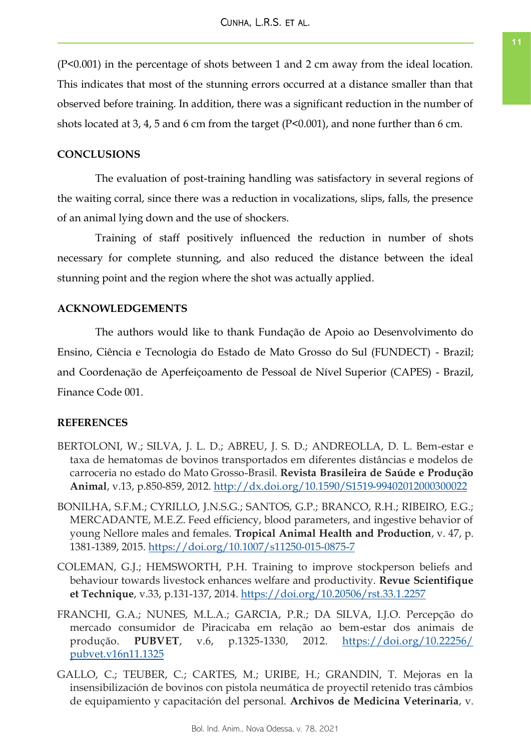(P<0.001) in the percentage of shots between 1 and 2 cm away from the ideal location. This indicates that most of the stunning errors occurred at a distance smaller than that observed before training. In addition, there was a significant reduction in the number of shots located at 3, 4, 5 and 6 cm from the target (P<0.001), and none further than 6 cm.

## **CONCLUSIONS**

The evaluation of post-training handling was satisfactory in several regions of the waiting corral, since there was a reduction in vocalizations, slips, falls, the presence of an animal lying down and the use of shockers.

Training of staff positively influenced the reduction in number of shots necessary for complete stunning, and also reduced the distance between the ideal stunning point and the region where the shot was actually applied.

## **ACKNOWLEDGEMENTS**

The authors would like to thank Fundação de Apoio ao Desenvolvimento do Ensino, Ciência e Tecnologia do Estado de Mato Grosso do Sul (FUNDECT) - Brazil; and Coordenação de Aperfeiçoamento de Pessoal de Nível Superior (CAPES) - Brazil, Finance Code 001.

## **REFERENCES**

- BERTOLONI, W.; SILVA, J. L. D.; ABREU, J. S. D.; ANDREOLLA, D. L. Bem-estar e taxa de hematomas de bovinos transportados em diferentes distâncias e modelos de carroceria no estado do Mato Grosso-Brasil. **Revista Brasileira de Saúde e Produção Animal**, v.13, p.850-859, 2012. <http://dx.doi.org/10.1590/S1519-99402012000300022>
- BONILHA, S.F.M.; CYRILLO, J.N.S.G.; SANTOS, G.P.; BRANCO, R.H.; RIBEIRO, E.G.; MERCADANTE, M.E.Z. Feed efficiency, blood parameters, and ingestive behavior of young Nellore males and females. **Tropical Animal Health and Production**, v. 47, p. 1381-1389, 2015.<https://doi.org/10.1007/s11250-015-0875-7>
- COLEMAN, G.J.; HEMSWORTH, P.H. Training to improve stockperson beliefs and behaviour towards livestock enhances welfare and productivity. **Revue Scientifique et Technique**, v.33, p.131-137, 2014. <https://doi.org/10.20506/rst.33.1.2257>
- FRANCHI, G.A.; NUNES, M.L.A.; GARCIA, P.R.; DA SILVA, I.J.O. Percepção do mercado consumidor de Piracicaba em relação ao bem-estar dos animais de produção. **PUBVET**, v.6, p.1325-1330, 2012. [https://doi.org/10.22256/](https://doi.org/10.22256/pubvet.v16n11.1325) [pubvet.v16n11.1325](https://doi.org/10.22256/pubvet.v16n11.1325)
- GALLO, C.; TEUBER, C.; CARTES, M.; URIBE, H.; GRANDIN, T. Mejoras en la insensibilización de bovinos con pistola neumática de proyectil retenido tras câmbios de equipamiento y capacitación del personal. **Archivos de Medicina Veterinaria**, v.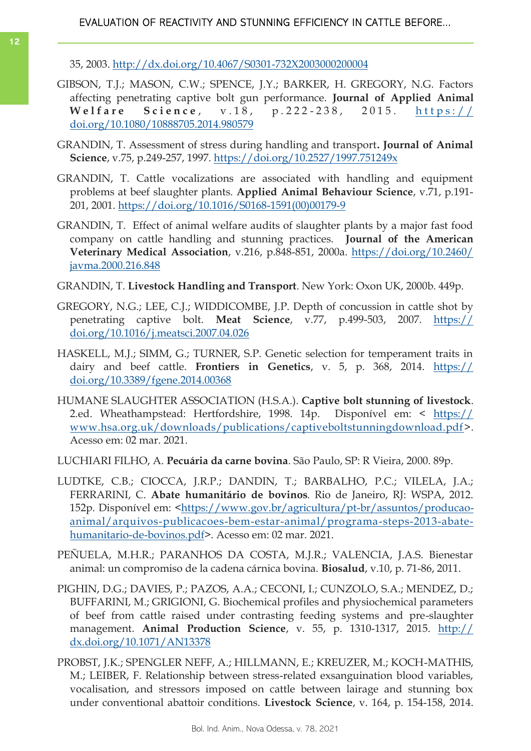# EVALUATION OF REACTIVITY AND STUNNING EFFICIENCY IN CATTLE BEFORE...

35, 2003.<http://dx.doi.org/10.4067/S0301-732X2003000200004>

- GIBSON, T.J.; MASON, C.W.; SPENCE, J.Y.; BARKER, H. GREGORY, N.G. Factors affecting penetrating captive bolt gun performance. **Journal of Applied Animal Welfare Science**, v.18, p.222-238, 2015. https:// [doi.org/10.1080/10888705.2014.980579](https://doi.org/10.1080/10888705.2014.980579)
- GRANDIN, T. Assessment of stress during handling and transport**. Journal of Animal Science**, v.75, p.249-257, 1997. <https://doi.org/10.2527/1997.751249x>
- GRANDIN, T. Cattle vocalizations are associated with handling and equipment problems at beef slaughter plants. **Applied Animal Behaviour Science**, v.71, p.191- 201, 2001. [https://doi.org/10.1016/S0168-1591\(00\)00179-9](https://doi.org/10.1016/S0168-1591(00)00179-9)
- GRANDIN, T. Effect of animal welfare audits of slaughter plants by a major fast food company on cattle handling and stunning practices. **Journal of the American Veterinary Medical Association**, v.216, p.848-851, 2000a. [https://doi.org/10.2460/](https://doi.org/10.2460/javma.2000.216.848) [javma.2000.216.848](https://doi.org/10.2460/javma.2000.216.848)
- GRANDIN, T. **Livestock Handling and Transport**. New York: Oxon UK, 2000b. 449p.
- GREGORY, N.G.; LEE, C.J.; WIDDICOMBE, J.P. Depth of concussion in cattle shot by penetrating captive bolt. **Meat Science**, v.77, p.499-503, 2007. [https://](https://doi.org/10.1016/j.meatsci.2007.04.026) [doi.org/10.1016/j.meatsci.2007.04.026](https://doi.org/10.1016/j.meatsci.2007.04.026)
- HASKELL, M.J.; SIMM, G.; TURNER, S.P. Genetic selection for temperament traits in dairy and beef cattle. **Frontiers in Genetics**, v. 5, p. 368, 2014. [https://](https://doi.org/10.3389/fgene.2014.00368) [doi.org/10.3389/fgene.2014.00368](https://doi.org/10.3389/fgene.2014.00368)
- HUMANE SLAUGHTER ASSOCIATION (H.S.A.). **Captive bolt stunning of livestock**. 2.ed. Wheathampstead: Hertfordshire, 1998. 14p. Disponível em: < [https://](https://www.hsa.org.uk/downloads/publications/captiveboltstunningdownload.pdf) [www.hsa.org.uk/downloads/publications/captiveboltstunningdownload.pdf>](https://www.hsa.org.uk/downloads/publications/captiveboltstunningdownload.pdf). Acesso em: 02 mar. 2021.
- LUCHIARI FILHO, A. **Pecuária da carne bovina**. São Paulo, SP: R Vieira, 2000. 89p.
- LUDTKE, C.B.; CIOCCA, J.R.P.; DANDIN, T.; BARBALHO, P.C.; VILELA, J.A.; FERRARINI, C. **Abate humanitário de bovinos**. Rio de Janeiro, RJ: WSPA, 2012. 152p. Disponível em: [<https://www.gov.br/agricultura/pt-br/assuntos/producao](https://www.gov.br/agricultura/pt-br/assuntos/producao-animal/arquivos-publicacoes-bem-estar-animal/programa-steps-2013-abate-humanitario-de-bovinos.pdf)[animal/arquivos-publicacoes-bem-estar-animal/programa-steps-2013-abate](https://www.gov.br/agricultura/pt-br/assuntos/producao-animal/arquivos-publicacoes-bem-estar-animal/programa-steps-2013-abate-humanitario-de-bovinos.pdf)[humanitario-de-bovinos.pdf>](https://www.gov.br/agricultura/pt-br/assuntos/producao-animal/arquivos-publicacoes-bem-estar-animal/programa-steps-2013-abate-humanitario-de-bovinos.pdf). Acesso em: 02 mar. 2021.
- PEÑUELA, M.H.R.; PARANHOS DA COSTA, M.J.R.; VALENCIA, J.A.S. Bienestar animal: un compromiso de la cadena cárnica bovina. **Biosalud**, v.10, p. 71-86, 2011.
- PIGHIN, D.G.; DAVIES, P.; PAZOS, A.A.; CECONI, I.; CUNZOLO, S.A.; MENDEZ, D.; BUFFARINI, M.; GRIGIONI, G. Biochemical profiles and physiochemical parameters of beef from cattle raised under contrasting feeding systems and pre-slaughter management. **Animal Production Science**, v. 55, p. 1310-1317, 2015. [http://](http://dx.doi.org/10.1071/AN13378) [dx.doi.org/10.1071/AN13378](http://dx.doi.org/10.1071/AN13378)
- PROBST, J.K.; SPENGLER NEFF, A.; HILLMANN, E.; KREUZER, M.; KOCH-MATHIS, M.; LEIBER, F. Relationship between stress-related exsanguination blood variables, vocalisation, and stressors imposed on cattle between lairage and stunning box under conventional abattoir conditions. **Livestock Science**, v. 164, p. 154-158, 2014.